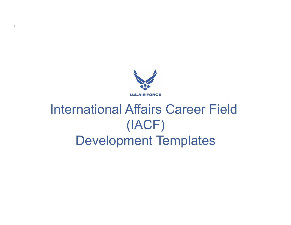

# International Affairs Career Field (IACF) Development Templates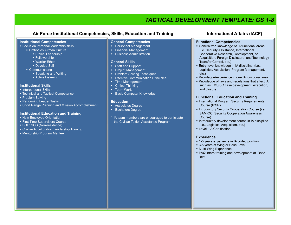# *TACTICAL DEVELOPMENT TEMPLATE: GS 1-8*

### Air Force Institutional Competencies, Skills, Education and Training **International Affairs (IACF)**

#### **Institutional Competencies**

- **Focus on Personal leadership skills** 
	- **Embodies Airman Culture** 
		- **Ethical Leadership**
		- **Followership**
		- **Warrior Ethos**
		- **Develop Self**
	- Communicating
		- **Speaking and Writing** 
			- **Active Listening**

#### **Institutional Skills**

- **Interpersonal Skills**
- Technical and Tactical Competence
- Problem Solving
- **Performing Leader Tasks**
- Short Range Planning and Mission Accomplishment

#### **Institutional Education and Training**

- New Employee Orientation
- **First Time Supervisors Course**
- BDE: SOS (Non-residence)
- Civilian Acculturation Leadership Training
- Mentorship Program Mentee

#### **General Competencies**

- **Personnel Management**
- **Financial Management**
- **Business Administration**

#### **General Skills**

- **Staff and Support**
- **Project Management**
- **Problem Solving Techniques**
- **Effective Communication Principles**
- **Time Management**
- Critical Thinking
- **Team Work**
- **Basic Computer Knowledge**

#### **Education**

- **Associates Degree**
- **Bachelors Degree\***
- \* IA team members are encouraged to participate in the Civilian Tuition Assistance Program.

#### **Functional Competencies**

- Generalized knowledge of IA functional areas: (i.e. Security Assistance, International Cooperative Research, Development, or Acquisition, Foreign Disclosure, and Technology Transfer Control, etc.)
- Entry-level knowledge in IA discipline (i.e., Logistics, Acquisition, Program Management, etc.)
- Knowledge/experience in one IA functional area
- Knowledge of laws and regulations that affect IA such as FMS/SC case development, execution, and closure

#### **Functional Education and Training**

- **International Program Security Requirements** Course (IPSR)
- **Introductory Security Cooperation Course (i.e.,** SAM-OC, Security Cooperation Awareness Course)
- **Introductory development course in IA discipline** (i.e., Logistics, Acquisition, etc.)
- **Level I IA Certification**

#### **Experience**

- 1-5 years experience in IA coded position
- 3-5 years at Wing or Base Level
- **Multi-Wing Experience**
- PAQ intern training and development at Base level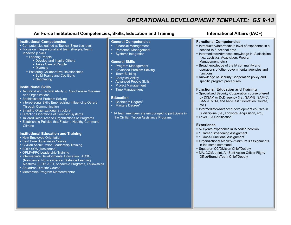# *OPERATIONAL DEVELOPMENT TEMPLATE: GS 9-13*

### Air Force Institutional Competencies, Skills, Education and Training **International Affairs (IACF)**

#### **Institutional Competencies**

- **EXP** Competencies gained at Tactical Expertise level
- Focus on interpersonal and team (People/Team) leadership skills
	- **Leading People** 
		- **Develop and Inspire Others**
		- Takes Care of People
		- **-** Diversity
	- **Fostering Collaborative Relationships** 
		- **Build Teams and Coalitions**
		- Negotiating

#### **Institutional Skills**

- Technical and Tactical Ability to Synchronize Systems and Organizations
- Sophisticated Problem Solving
- Interpersonal Skills Emphasizing Influencing Others Through Communication
- Shaping Organizational Structure
- **Directing Operations of Complex Systems**
- **Example 3** Tailored Resources to Organizations or Programs
- Establishing Policies that Foster a Healthy Command **Climate**

#### **Institutional Education and Training**

- New Employee Orientation
- **First Time Supervisors Course**
- **EXITEE Acculturation Leadership Training**
- **BDE: SOS (Residence)**
- OPM/AFPC Leadership Training
- **Intermediate Developmental Education: ACSC** (Residence, Non-residence, Distance Learning Masters), ELDP, AFIT, Academic Programs, Fellowships
- Squadron Director Course
- Mentorship Program Mentee/Mentor

#### **General Competencies**

- **Financial Management Personnel Management**
- 
- **Systems Integration**

#### **General Skills**

- **Program Management**
- Advanced Problem Solving
- Team Building
- **Analytical Ability**
- **Advanced People Skills**
- **Project Management**
- **Time Management**

#### **Education**

- **Bachelors Degree\***
- **Masters Degree\***
- IA team members are encouraged to participate in the Civilian Tuition Assistance Program.

#### **Functional Competencies**

- Introductory/Intermediate level of experience in a second IA functional area
- **Intermediate/Advanced knowledge in IA discipline** (i.e., Logistics, Acquisition, Program Management, etc.)
- Broad knowledge of the IA community and operations of other governmental agencies and functions
- Knowledge of Security Cooperation policy and specific program procedures

#### **Functional Education and Training**

- **Specialized Security Cooperation course offered** by DISAM or DoD agency (i.e., SAM-E, SAM-C, SAM-TO/TM, and Mid-East Orientation Course, etc.)
- **Intermediate/Advanced development courses in** IA discipline (i.e., Logistics, Acquisition, etc.)
- **Level II IA Certification**

#### **Experience**

- 5-9 years experience in IA coded position
- **1 Career Broadening Assignment**
- **1 Cross-Functional Assignment**
- Organizational Mobility–minimum 3 assignments in the same command
- **Squadron CC/Division Chief/Deputy**
- MAJCOM, Joint, Air Staff Action Officer Flight/ Office/Branch/Team Chief/Deputy